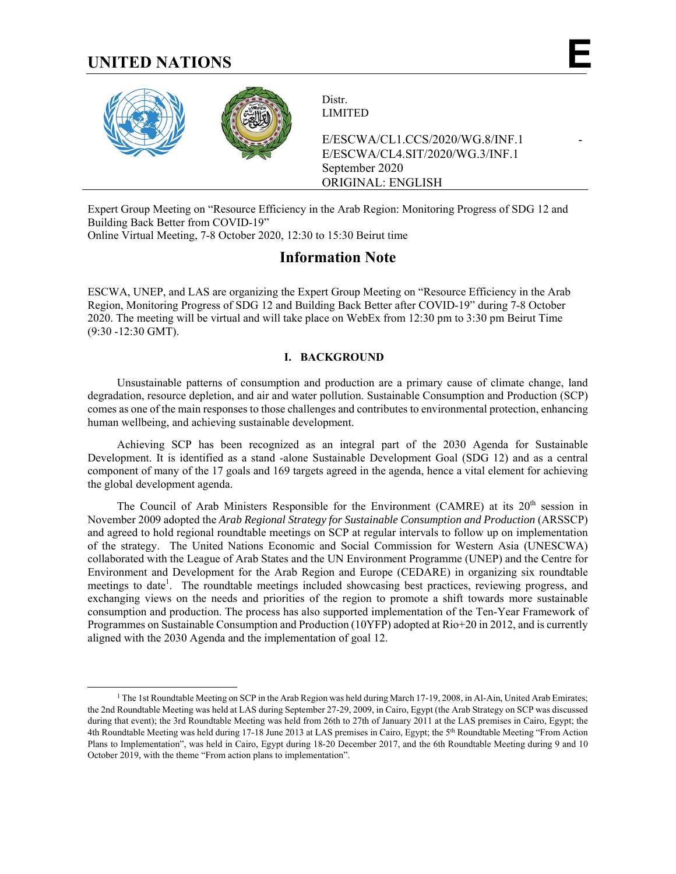# **UNITED NATIONS E**



Distr. LIMITED

E/ESCWA/CL1.CCS/2020/WG.8/INF.1 - E/ESCWA/CL4.SIT/2020/WG.3/INF.1 September 2020 ORIGINAL: ENGLISH

Expert Group Meeting on "Resource Efficiency in the Arab Region: Monitoring Progress of SDG 12 and Building Back Better from COVID-19"

Online Virtual Meeting, 7-8 October 2020, 12:30 to 15:30 Beirut time

# **Information Note**

ESCWA, UNEP, and LAS are organizing the Expert Group Meeting on "Resource Efficiency in the Arab Region, Monitoring Progress of SDG 12 and Building Back Better after COVID-19" during 7-8 October 2020. The meeting will be virtual and will take place on WebEx from 12:30 pm to 3:30 pm Beirut Time (9:30 -12:30 GMT).

# **I. BACKGROUND**

Unsustainable patterns of consumption and production are a primary cause of climate change, land degradation, resource depletion, and air and water pollution. Sustainable Consumption and Production (SCP) comes as one of the main responses to those challenges and contributes to environmental protection, enhancing human wellbeing, and achieving sustainable development.

Achieving SCP has been recognized as an integral part of the 2030 Agenda for Sustainable Development. It is identified as a stand -alone Sustainable Development Goal (SDG 12) and as a central component of many of the 17 goals and 169 targets agreed in the agenda, hence a vital element for achieving the global development agenda.

The Council of Arab Ministers Responsible for the Environment (CAMRE) at its  $20<sup>th</sup>$  session in November 2009 adopted the *Arab Regional Strategy for Sustainable Consumption and Production* (ARSSCP) and agreed to hold regional roundtable meetings on SCP at regular intervals to follow up on implementation of the strategy. The United Nations Economic and Social Commission for Western Asia (UNESCWA) collaborated with the League of Arab States and the UN Environment Programme (UNEP) and the Centre for Environment and Development for the Arab Region and Europe (CEDARE) in organizing six roundtable meetings to date<sup>1</sup>. The roundtable meetings included showcasing best practices, reviewing progress, and exchanging views on the needs and priorities of the region to promote a shift towards more sustainable consumption and production. The process has also supported implementation of the Ten-Year Framework of Programmes on Sustainable Consumption and Production (10YFP) adopted at Rio+20 in 2012, and is currently aligned with the 2030 Agenda and the implementation of goal 12.

<sup>&</sup>lt;sup>1</sup> The 1st Roundtable Meeting on SCP in the Arab Region was held during March 17-19, 2008, in Al-Ain, United Arab Emirates; the 2nd Roundtable Meeting was held at LAS during September 27-29, 2009, in Cairo, Egypt (the Arab Strategy on SCP was discussed during that event); the 3rd Roundtable Meeting was held from 26th to 27th of January 2011 at the LAS premises in Cairo, Egypt; the 4th Roundtable Meeting was held during 17-18 June 2013 at LAS premises in Cairo, Egypt; the 5<sup>th</sup> Roundtable Meeting "From Action" Plans to Implementation", was held in Cairo, Egypt during 18-20 December 2017, and the 6th Roundtable Meeting during 9 and 10 October 2019, with the theme "From action plans to implementation".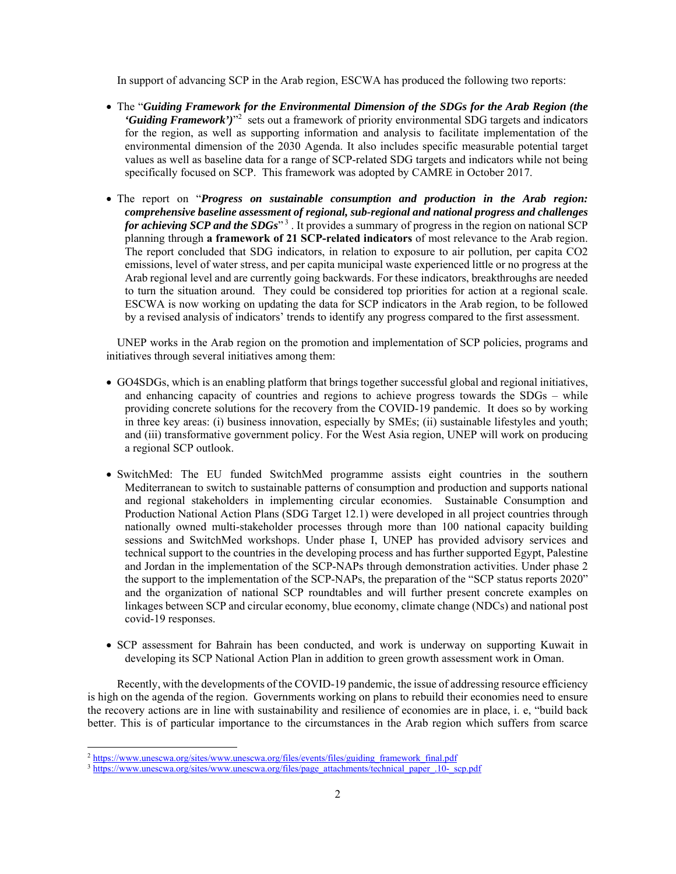In support of advancing SCP in the Arab region, ESCWA has produced the following two reports:

- The "*Guiding Framework for the Environmental Dimension of the SDGs for the Arab Region (the*  'Guiding Framework')<sup>"2</sup> sets out a framework of priority environmental SDG targets and indicators for the region, as well as supporting information and analysis to facilitate implementation of the environmental dimension of the 2030 Agenda. It also includes specific measurable potential target values as well as baseline data for a range of SCP-related SDG targets and indicators while not being specifically focused on SCP. This framework was adopted by CAMRE in October 2017.
- The report on "*Progress on sustainable consumption and production in the Arab region: comprehensive baseline assessment of regional, sub-regional and national progress and challenges for achieving SCP and the SDGs*<sup>3</sup>. It provides a summary of progress in the region on national SCP planning through **a framework of 21 SCP-related indicators** of most relevance to the Arab region. The report concluded that SDG indicators, in relation to exposure to air pollution, per capita CO2 emissions, level of water stress, and per capita municipal waste experienced little or no progress at the Arab regional level and are currently going backwards. For these indicators, breakthroughs are needed to turn the situation around. They could be considered top priorities for action at a regional scale. ESCWA is now working on updating the data for SCP indicators in the Arab region, to be followed by a revised analysis of indicators' trends to identify any progress compared to the first assessment.

 UNEP works in the Arab region on the promotion and implementation of SCP policies, programs and initiatives through several initiatives among them:

- GO4SDGs, which is an enabling platform that brings together successful global and regional initiatives, and enhancing capacity of countries and regions to achieve progress towards the SDGs – while providing concrete solutions for the recovery from the COVID-19 pandemic. It does so by working in three key areas: (i) business innovation, especially by SMEs; (ii) sustainable lifestyles and youth; and (iii) transformative government policy. For the West Asia region, UNEP will work on producing a regional SCP outlook.
- SwitchMed: The EU funded SwitchMed programme assists eight countries in the southern Mediterranean to switch to sustainable patterns of consumption and production and supports national and regional stakeholders in implementing circular economies. Sustainable Consumption and Production National Action Plans (SDG Target 12.1) were developed in all project countries through nationally owned multi-stakeholder processes through more than 100 national capacity building sessions and SwitchMed workshops. Under phase I, UNEP has provided advisory services and technical support to the countries in the developing process and has further supported Egypt, Palestine and Jordan in the implementation of the SCP-NAPs through demonstration activities. Under phase 2 the support to the implementation of the SCP-NAPs, the preparation of the "SCP status reports 2020" and the organization of national SCP roundtables and will further present concrete examples on linkages between SCP and circular economy, blue economy, climate change (NDCs) and national post covid-19 responses.
- SCP assessment for Bahrain has been conducted, and work is underway on supporting Kuwait in developing its SCP National Action Plan in addition to green growth assessment work in Oman.

Recently, with the developments of the COVID-19 pandemic, the issue of addressing resource efficiency is high on the agenda of the region. Governments working on plans to rebuild their economies need to ensure the recovery actions are in line with sustainability and resilience of economies are in place, i. e, "build back better. This is of particular importance to the circumstances in the Arab region which suffers from scarce

 $\overline{a}$ 

<sup>&</sup>lt;sup>2</sup> https://www.unescwa.org/sites/www.unescwa.org/files/events/files/guiding\_framework\_final.pdf

<sup>&</sup>lt;sup>3</sup> https://www.unescwa.org/sites/www.unescwa.org/files/page\_attachments/technical\_paper\_.10-\_scp.pdf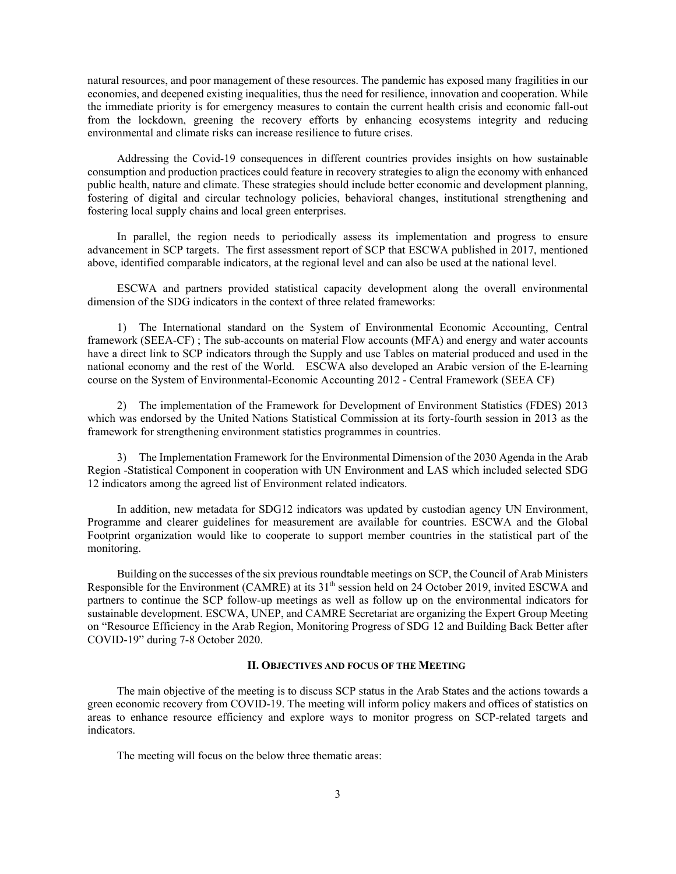natural resources, and poor management of these resources. The pandemic has exposed many fragilities in our economies, and deepened existing inequalities, thus the need for resilience, innovation and cooperation. While the immediate priority is for emergency measures to contain the current health crisis and economic fall-out from the lockdown, greening the recovery efforts by enhancing ecosystems integrity and reducing environmental and climate risks can increase resilience to future crises.

Addressing the Covid-19 consequences in different countries provides insights on how sustainable consumption and production practices could feature in recovery strategies to align the economy with enhanced public health, nature and climate. These strategies should include better economic and development planning, fostering of digital and circular technology policies, behavioral changes, institutional strengthening and fostering local supply chains and local green enterprises.

In parallel, the region needs to periodically assess its implementation and progress to ensure advancement in SCP targets. The first assessment report of SCP that ESCWA published in 2017, mentioned above, identified comparable indicators, at the regional level and can also be used at the national level.

ESCWA and partners provided statistical capacity development along the overall environmental dimension of the SDG indicators in the context of three related frameworks:

1) The International standard on the System of Environmental Economic Accounting, Central framework (SEEA-CF) ; The sub-accounts on material Flow accounts (MFA) and energy and water accounts have a direct link to SCP indicators through the Supply and use Tables on material produced and used in the national economy and the rest of the World. ESCWA also developed an Arabic version of the E-learning course on the System of Environmental-Economic Accounting 2012 - Central Framework (SEEA CF)

2) The implementation of the Framework for Development of Environment Statistics (FDES) 2013 which was endorsed by the United Nations Statistical Commission at its forty-fourth session in 2013 as the framework for strengthening environment statistics programmes in countries.

3) The Implementation Framework for the Environmental Dimension of the 2030 Agenda in the Arab Region -Statistical Component in cooperation with UN Environment and LAS which included selected SDG 12 indicators among the agreed list of Environment related indicators.

In addition, new metadata for SDG12 indicators was updated by custodian agency UN Environment, Programme and clearer guidelines for measurement are available for countries. ESCWA and the Global Footprint organization would like to cooperate to support member countries in the statistical part of the monitoring.

Building on the successes of the six previous roundtable meetings on SCP, the Council of Arab Ministers Responsible for the Environment (CAMRE) at its 31<sup>th</sup> session held on 24 October 2019, invited ESCWA and partners to continue the SCP follow-up meetings as well as follow up on the environmental indicators for sustainable development. ESCWA, UNEP, and CAMRE Secretariat are organizing the Expert Group Meeting on "Resource Efficiency in the Arab Region, Monitoring Progress of SDG 12 and Building Back Better after COVID-19" during 7-8 October 2020.

### **II. OBJECTIVES AND FOCUS OF THE MEETING**

The main objective of the meeting is to discuss SCP status in the Arab States and the actions towards a green economic recovery from COVID-19. The meeting will inform policy makers and offices of statistics on areas to enhance resource efficiency and explore ways to monitor progress on SCP-related targets and indicators.

The meeting will focus on the below three thematic areas: